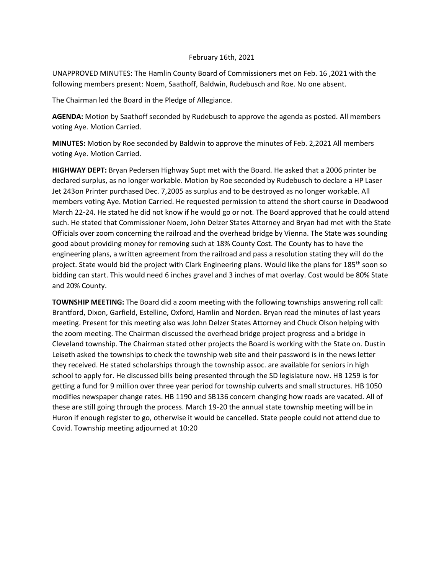## February 16th, 2021

UNAPPROVED MINUTES: The Hamlin County Board of Commissioners met on Feb. 16 ,2021 with the following members present: Noem, Saathoff, Baldwin, Rudebusch and Roe. No one absent.

The Chairman led the Board in the Pledge of Allegiance.

**AGENDA:** Motion by Saathoff seconded by Rudebusch to approve the agenda as posted. All members voting Aye. Motion Carried.

**MINUTES:** Motion by Roe seconded by Baldwin to approve the minutes of Feb. 2,2021 All members voting Aye. Motion Carried.

**HIGHWAY DEPT:** Bryan Pedersen Highway Supt met with the Board. He asked that a 2006 printer be declared surplus, as no longer workable. Motion by Roe seconded by Rudebusch to declare a HP Laser Jet 243on Printer purchased Dec. 7,2005 as surplus and to be destroyed as no longer workable. All members voting Aye. Motion Carried. He requested permission to attend the short course in Deadwood March 22-24. He stated he did not know if he would go or not. The Board approved that he could attend such. He stated that Commissioner Noem, John Delzer States Attorney and Bryan had met with the State Officials over zoom concerning the railroad and the overhead bridge by Vienna. The State was sounding good about providing money for removing such at 18% County Cost. The County has to have the engineering plans, a written agreement from the railroad and pass a resolution stating they will do the project. State would bid the project with Clark Engineering plans. Would like the plans for 185<sup>th</sup> soon so bidding can start. This would need 6 inches gravel and 3 inches of mat overlay. Cost would be 80% State and 20% County.

**TOWNSHIP MEETING:** The Board did a zoom meeting with the following townships answering roll call: Brantford, Dixon, Garfield, Estelline, Oxford, Hamlin and Norden. Bryan read the minutes of last years meeting. Present for this meeting also was John Delzer States Attorney and Chuck Olson helping with the zoom meeting. The Chairman discussed the overhead bridge project progress and a bridge in Cleveland township. The Chairman stated other projects the Board is working with the State on. Dustin Leiseth asked the townships to check the township web site and their password is in the news letter they received. He stated scholarships through the township assoc. are available for seniors in high school to apply for. He discussed bills being presented through the SD legislature now. HB 1259 is for getting a fund for 9 million over three year period for township culverts and small structures. HB 1050 modifies newspaper change rates. HB 1190 and SB136 concern changing how roads are vacated. All of these are still going through the process. March 19-20 the annual state township meeting will be in Huron if enough register to go, otherwise it would be cancelled. State people could not attend due to Covid. Township meeting adjourned at 10:20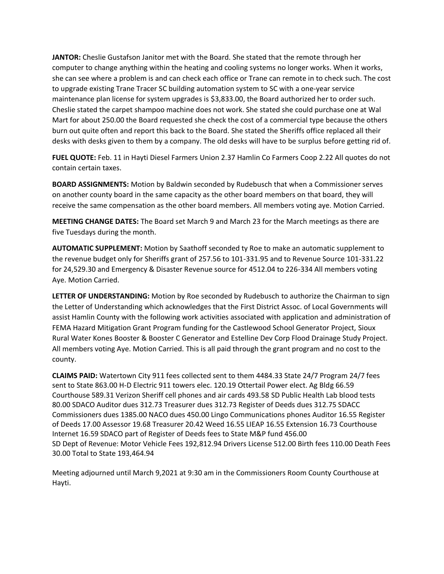**JANTOR:** Cheslie Gustafson Janitor met with the Board. She stated that the remote through her computer to change anything within the heating and cooling systems no longer works. When it works, she can see where a problem is and can check each office or Trane can remote in to check such. The cost to upgrade existing Trane Tracer SC building automation system to SC with a one-year service maintenance plan license for system upgrades is \$3,833.00, the Board authorized her to order such. Cheslie stated the carpet shampoo machine does not work. She stated she could purchase one at Wal Mart for about 250.00 the Board requested she check the cost of a commercial type because the others burn out quite often and report this back to the Board. She stated the Sheriffs office replaced all their desks with desks given to them by a company. The old desks will have to be surplus before getting rid of.

**FUEL QUOTE:** Feb. 11 in Hayti Diesel Farmers Union 2.37 Hamlin Co Farmers Coop 2.22 All quotes do not contain certain taxes.

**BOARD ASSIGNMENTS:** Motion by Baldwin seconded by Rudebusch that when a Commissioner serves on another county board in the same capacity as the other board members on that board, they will receive the same compensation as the other board members. All members voting aye. Motion Carried.

**MEETING CHANGE DATES:** The Board set March 9 and March 23 for the March meetings as there are five Tuesdays during the month.

**AUTOMATIC SUPPLEMENT:** Motion by Saathoff seconded ty Roe to make an automatic supplement to the revenue budget only for Sheriffs grant of 257.56 to 101-331.95 and to Revenue Source 101-331.22 for 24,529.30 and Emergency & Disaster Revenue source for 4512.04 to 226-334 All members voting Aye. Motion Carried.

LETTER OF UNDERSTANDING: Motion by Roe seconded by Rudebusch to authorize the Chairman to sign the Letter of Understanding which acknowledges that the First District Assoc. of Local Governments will assist Hamlin County with the following work activities associated with application and administration of FEMA Hazard Mitigation Grant Program funding for the Castlewood School Generator Project, Sioux Rural Water Kones Booster & Booster C Generator and Estelline Dev Corp Flood Drainage Study Project. All members voting Aye. Motion Carried. This is all paid through the grant program and no cost to the county.

**CLAIMS PAID:** Watertown City 911 fees collected sent to them 4484.33 State 24/7 Program 24/7 fees sent to State 863.00 H-D Electric 911 towers elec. 120.19 Ottertail Power elect. Ag Bldg 66.59 Courthouse 589.31 Verizon Sheriff cell phones and air cards 493.58 SD Public Health Lab blood tests 80.00 SDACO Auditor dues 312.73 Treasurer dues 312.73 Register of Deeds dues 312.75 SDACC Commissioners dues 1385.00 NACO dues 450.00 Lingo Communications phones Auditor 16.55 Register of Deeds 17.00 Assessor 19.68 Treasurer 20.42 Weed 16.55 LIEAP 16.55 Extension 16.73 Courthouse Internet 16.59 SDACO part of Register of Deeds fees to State M&P fund 456.00 SD Dept of Revenue: Motor Vehicle Fees 192,812.94 Drivers License 512.00 Birth fees 110.00 Death Fees 30.00 Total to State 193,464.94

Meeting adjourned until March 9,2021 at 9:30 am in the Commissioners Room County Courthouse at Hayti.